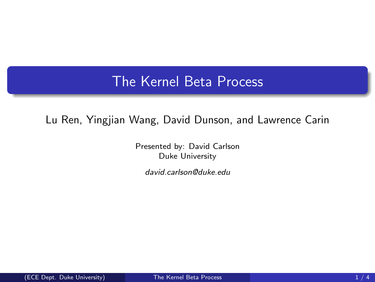## The Kernel Beta Process

## Lu Ren, Yingjian Wang, David Dunson, and Lawrence Carin

Presented by: David Carlson Duke University

<span id="page-0-0"></span>david.carlson@duke.edu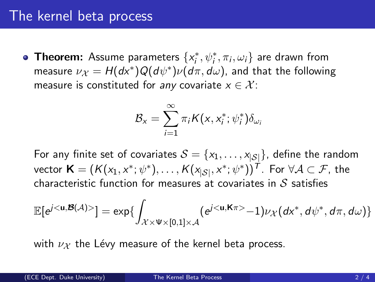## The kernel beta process

**Theorem:** Assume parameters  $\{x_i^*, \psi_i^*, \pi_i, \omega_i\}$  are drawn from measure  $\nu_{\mathcal{X}} = H(d\mathsf{x}^*)Q(d\psi^*)\nu(d\pi,d\omega)$ , and that the following measure is constituted for any covariate  $x \in \mathcal{X}$ :

$$
\mathcal{B}_x = \sum_{i=1}^{\infty} \pi_i K(x, x_i^*; \psi_i^*) \delta_{\omega_i}
$$

For any finite set of covariates  $S = \{x_1, \ldots, x_{|S|}\}\)$ , define the random vector  $\mathsf{K}=(\mathcal{K}(x_1,x^*;\psi^*),\ldots,\mathcal{K}(x_{|\mathcal{S}|},x^*;\psi^*))^{\mathsf{T}}.$  For  $\forall\mathcal{A}\subset\mathcal{F},$  the characteristic function for measures at covariates in  $S$  satisfies

$$
\mathbb{E}[e^{j<\mathbf{u},\boldsymbol{\mathcal{B}}(\mathcal{A})>}] = \exp\{\int_{\mathcal{X}\times \Psi\times [0,1]\times \mathcal{A}} (e^{j<\mathbf{u},\boldsymbol{\mathsf{K}}\pi>}-1)\nu_{\mathcal{X}}(d\mathsf{x}^*,d\psi^*,d\pi,d\omega)\}
$$

with  $\nu x$  the Lévy measure of the kernel beta process.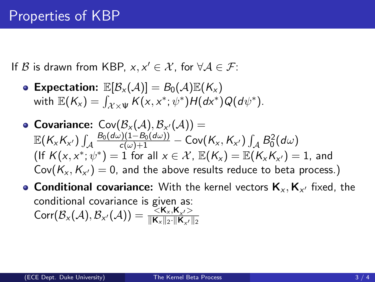If  $\mathcal B$  is drawn from KBP,  $x, x' \in \mathcal X$ , for  $\forall \mathcal A \in \mathcal F$ :

- Expectation:  $\mathbb{E}[\mathcal{B}_{\chi}(\mathcal{A})] = B_0(\mathcal{A}) \mathbb{E}(K_{\chi})$ with  $\mathbb{E}(K_{x}) = \int_{\mathcal{X} \times \Psi} K(x, x^{*}; \psi^{*}) H(dx^{*}) Q(d\psi^{*}).$
- **Covariance:**  $\mathsf{Cov}(\mathcal{B}_{\mathsf{x}}(\mathcal{A}),\mathcal{B}_{\mathsf{x}'}(\mathcal{A}))$  =  $\mathbb{E}(K_{\mathsf{x}}K_{\mathsf{x}'})\int_{\mathcal{A}}$  $\frac{B_0(d\omega)(1-B_0(d\omega))}{c(\omega)+1}-\mathsf{Cov}(K_\mathsf{x},K_{\mathsf{x}'})\int_\mathcal{A} B_0^2(d\omega)$  $(\textsf{lf } K(x,x^*; \psi^*)=1 \text{ for all } x \in \mathcal{X}, \ \mathbb{E}(K_\mathsf{x}) = \mathbb{E}(K_\mathsf{x} K_{\mathsf{x}'})=1,$  and  $\mathsf{Cov}(\mathsf{K}_{\mathsf{x}},\mathsf{K}_{\mathsf{x}'})=0$ , and the above results reduce to beta process.)
- **Conditional covariance:** With the kernel vectors  $\mathbf{K}_{\mathsf{x}}, \mathbf{K}_{\mathsf{x}'}$  fixed, the conditional covariance is given as:  $\text{Corr}(\mathcal{B}_{\mathsf{x}}(\mathcal{A}),\mathcal{B}_{\mathsf{x}'}(\mathcal{A})) = \frac{\leq \mathsf{K}_{\mathsf{x}},\mathsf{K}_{\mathsf{x}'} >}{\|\mathsf{K}_{\mathsf{x}}\|_{2}\|\mathsf{K}_{\mathsf{x}}\|}$  $\|\mathsf{K}_x\|_2\cdot\|\mathsf{K}_{x'}\|_2$